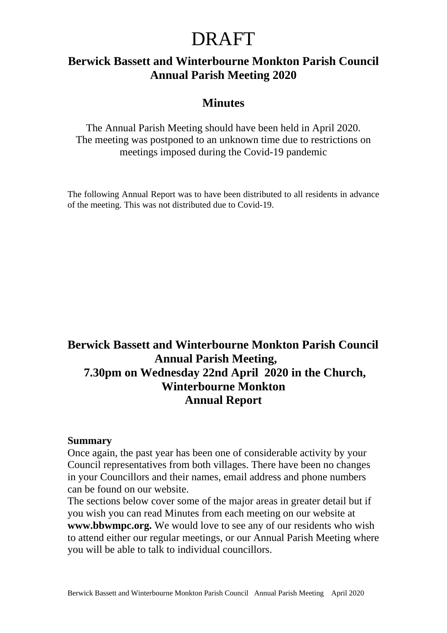### **Berwick Bassett and Winterbourne Monkton Parish Council Annual Parish Meeting 2020**

#### **Minutes**

The Annual Parish Meeting should have been held in April 2020. The meeting was postponed to an unknown time due to restrictions on meetings imposed during the Covid-19 pandemic

The following Annual Report was to have been distributed to all residents in advance of the meeting. This was not distributed due to Covid-19.

### **Berwick Bassett and Winterbourne Monkton Parish Council Annual Parish Meeting, 7.30pm on Wednesday 22nd April 2020 in the Church, Winterbourne Monkton Annual Report**

#### **Summary**

Once again, the past year has been one of considerable activity by your Council representatives from both villages. There have been no changes in your Councillors and their names, email address and phone numbers can be found on our website.

The sections below cover some of the major areas in greater detail but if you wish you can read Minutes from each meeting on our website at **www.bbwmpc.org.** We would love to see any of our residents who wish to attend either our regular meetings, or our Annual Parish Meeting where you will be able to talk to individual councillors.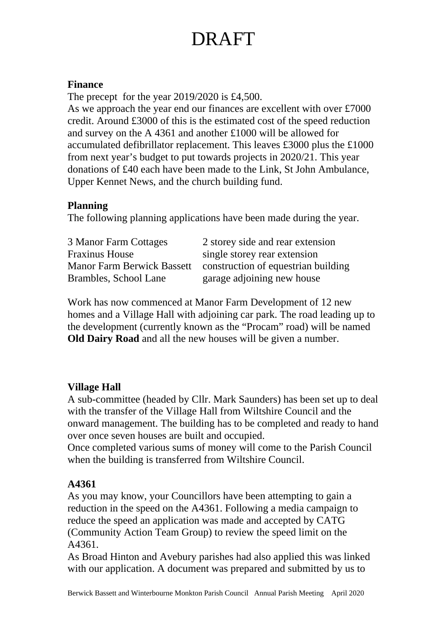#### **Finance**

The precept for the year 2019/2020 is £4,500. As we approach the year end our finances are excellent with over £7000 credit. Around £3000 of this is the estimated cost of the speed reduction and survey on the A 4361 and another £1000 will be allowed for accumulated defibrillator replacement. This leaves £3000 plus the £1000 from next year's budget to put towards projects in 2020/21. This year donations of £40 each have been made to the Link, St John Ambulance, Upper Kennet News, and the church building fund.

#### **Planning**

The following planning applications have been made during the year.

| 3 Manor Farm Cottages             | 2 storey side and rear extension    |
|-----------------------------------|-------------------------------------|
| <b>Fraxinus House</b>             | single storey rear extension        |
| <b>Manor Farm Berwick Bassett</b> | construction of equestrian building |
| Brambles, School Lane             | garage adjoining new house          |

Work has now commenced at Manor Farm Development of 12 new homes and a Village Hall with adjoining car park. The road leading up to the development (currently known as the "Procam" road) will be named **Old Dairy Road** and all the new houses will be given a number.

#### **Village Hall**

A sub-committee (headed by Cllr. Mark Saunders) has been set up to deal with the transfer of the Village Hall from Wiltshire Council and the onward management. The building has to be completed and ready to hand over once seven houses are built and occupied.

Once completed various sums of money will come to the Parish Council when the building is transferred from Wiltshire Council.

### **A4361**

As you may know, your Councillors have been attempting to gain a reduction in the speed on the A4361. Following a media campaign to reduce the speed an application was made and accepted by CATG (Community Action Team Group) to review the speed limit on the A4361.

As Broad Hinton and Avebury parishes had also applied this was linked with our application. A document was prepared and submitted by us to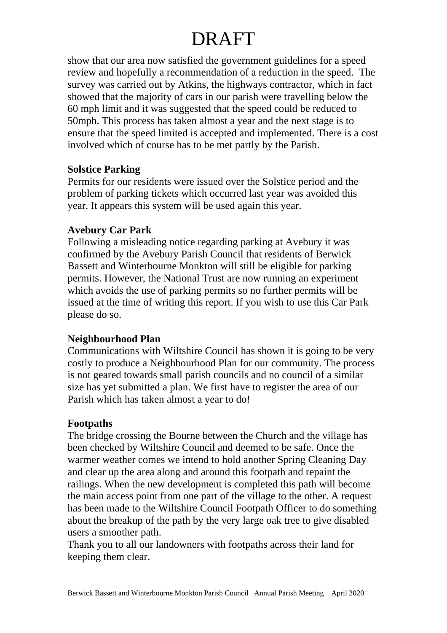show that our area now satisfied the government guidelines for a speed review and hopefully a recommendation of a reduction in the speed. The survey was carried out by Atkins, the highways contractor, which in fact showed that the majority of cars in our parish were travelling below the 60 mph limit and it was suggested that the speed could be reduced to 50mph. This process has taken almost a year and the next stage is to ensure that the speed limited is accepted and implemented. There is a cost involved which of course has to be met partly by the Parish.

#### **Solstice Parking**

Permits for our residents were issued over the Solstice period and the problem of parking tickets which occurred last year was avoided this year. It appears this system will be used again this year.

#### **Avebury Car Park**

Following a misleading notice regarding parking at Avebury it was confirmed by the Avebury Parish Council that residents of Berwick Bassett and Winterbourne Monkton will still be eligible for parking permits. However, the National Trust are now running an experiment which avoids the use of parking permits so no further permits will be issued at the time of writing this report. If you wish to use this Car Park please do so.

#### **Neighbourhood Plan**

Communications with Wiltshire Council has shown it is going to be very costly to produce a Neighbourhood Plan for our community. The process is not geared towards small parish councils and no council of a similar size has yet submitted a plan. We first have to register the area of our Parish which has taken almost a year to do!

#### **Footpaths**

The bridge crossing the Bourne between the Church and the village has been checked by Wiltshire Council and deemed to be safe. Once the warmer weather comes we intend to hold another Spring Cleaning Day and clear up the area along and around this footpath and repaint the railings. When the new development is completed this path will become the main access point from one part of the village to the other. A request has been made to the Wiltshire Council Footpath Officer to do something about the breakup of the path by the very large oak tree to give disabled users a smoother path.

Thank you to all our landowners with footpaths across their land for keeping them clear.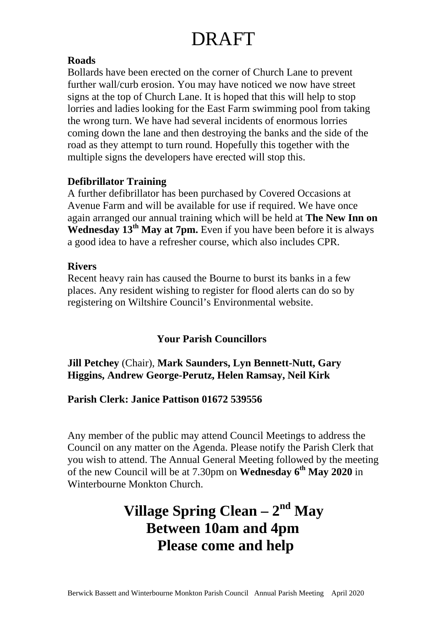#### **Roads**

Bollards have been erected on the corner of Church Lane to prevent further wall/curb erosion. You may have noticed we now have street signs at the top of Church Lane. It is hoped that this will help to stop lorries and ladies looking for the East Farm swimming pool from taking the wrong turn. We have had several incidents of enormous lorries coming down the lane and then destroying the banks and the side of the road as they attempt to turn round. Hopefully this together with the multiple signs the developers have erected will stop this.

#### **Defibrillator Training**

A further defibrillator has been purchased by Covered Occasions at Avenue Farm and will be available for use if required. We have once again arranged our annual training which will be held at **The New Inn on**  Wednesday 13<sup>th</sup> May at 7pm. Even if you have been before it is always a good idea to have a refresher course, which also includes CPR.

#### **Rivers**

Recent heavy rain has caused the Bourne to burst its banks in a few places. Any resident wishing to register for flood alerts can do so by registering on Wiltshire Council's Environmental website.

#### **Your Parish Councillors**

#### **Jill Petchey** (Chair), **Mark Saunders, Lyn Bennett-Nutt, Gary Higgins, Andrew George-Perutz, Helen Ramsay, Neil Kirk**

#### **Parish Clerk: Janice Pattison 01672 539556**

Any member of the public may attend Council Meetings to address the Council on any matter on the Agenda. Please notify the Parish Clerk that you wish to attend. The Annual General Meeting followed by the meeting of the new Council will be at 7.30pm on **Wednesday 6th May 2020** in Winterbourne Monkton Church.

### **Village Spring Clean – 2nd May Between 10am and 4pm Please come and help**